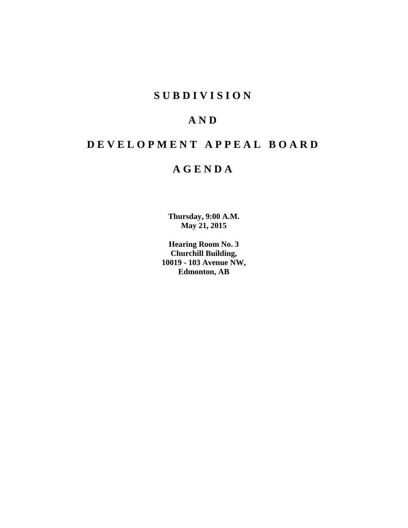# **S U B D I V I S I O N**

# **A N D**

# **D E V E L O P M E N T A P P E A L B O A R D**

# **A G E N D A**

**Thursday, 9:00 A.M. May 21, 2015**

**Hearing Room No. 3 Churchill Building, 10019 - 103 Avenue NW, Edmonton, AB**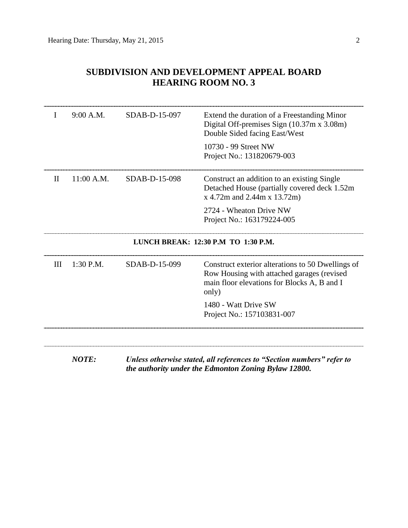| I | 9:00 A.M.    | SDAB-D-15-097 | Extend the duration of a Freestanding Minor<br>Digital Off-premises Sign (10.37m x 3.08m)<br>Double Sided facing East/West                              |
|---|--------------|---------------|---------------------------------------------------------------------------------------------------------------------------------------------------------|
|   |              |               | 10730 - 99 Street NW<br>Project No.: 131820679-003                                                                                                      |
| П | 11:00 A.M.   | SDAB-D-15-098 | Construct an addition to an existing Single<br>Detached House (partially covered deck 1.52m)<br>x 4.72m and 2.44m x 13.72m)                             |
|   |              |               | 2724 - Wheaton Drive NW<br>Project No.: 163179224-005                                                                                                   |
|   |              |               | LUNCH BREAK: 12:30 P.M TO 1:30 P.M.                                                                                                                     |
| Ш | $1:30$ P.M.  | SDAB-D-15-099 | Construct exterior alterations to 50 Dwellings of<br>Row Housing with attached garages (revised<br>main floor elevations for Blocks A, B and I<br>only) |
|   |              |               | 1480 - Watt Drive SW<br>Project No.: 157103831-007                                                                                                      |
|   |              |               |                                                                                                                                                         |
|   | <b>NOTE:</b> |               | Unless otherwise stated, all references to "Section numbers" refer to                                                                                   |

# **SUBDIVISION AND DEVELOPMENT APPEAL BOARD HEARING ROOM NO. 3**

*the authority under the Edmonton Zoning Bylaw 12800.*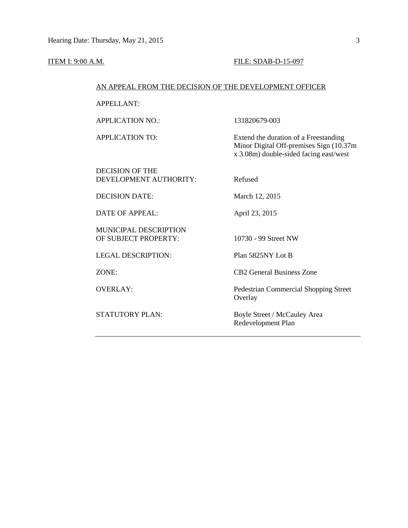### **ITEM I: 9:00 A.M. FILE: SDAB-D-15-097**

## AN APPEAL FROM THE DECISION OF THE DEVELOPMENT OFFICER

APPELLANT:

APPLICATION NO.: 131820679-003

APPLICATION TO: Extend the duration of a Freestanding Minor Digital Off-premises Sign (10.37m x 3.08m) double-sided facing east/west

DECISION OF THE DEVELOPMENT AUTHORITY: Refused

DECISION DATE: March 12, 2015

DATE OF APPEAL: April 23, 2015

MUNICIPAL DESCRIPTION OF SUBJECT PROPERTY: 10730 - 99 Street NW

LEGAL DESCRIPTION: Plan 5825NY Lot B

ZONE: CB2 General Business Zone

OVERLAY: Pedestrian Commercial Shopping Street **Overlay** 

STATUTORY PLAN: Boyle Street / McCauley Area Redevelopment Plan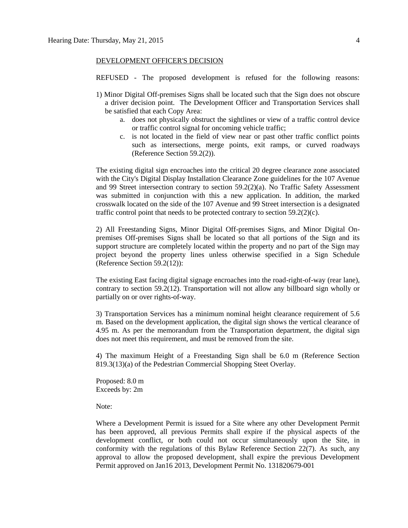#### DEVELOPMENT OFFICER'S DECISION

REFUSED - The proposed development is refused for the following reasons:

- 1) Minor Digital Off-premises Signs shall be located such that the Sign does not obscure a driver decision point. The Development Officer and Transportation Services shall be satisfied that each Copy Area:
	- a. does not physically obstruct the sightlines or view of a traffic control device or traffic control signal for oncoming vehicle traffic;
	- c. is not located in the field of view near or past other traffic conflict points such as intersections, merge points, exit ramps, or curved roadways (Reference Section 59.2(2)).

The existing digital sign encroaches into the critical 20 degree clearance zone associated with the City's Digital Display Installation Clearance Zone guidelines for the 107 Avenue and 99 Street intersection contrary to section 59.2(2)(a). No Traffic Safety Assessment was submitted in conjunction with this a new application. In addition, the marked crosswalk located on the side of the 107 Avenue and 99 Street intersection is a designated traffic control point that needs to be protected contrary to section  $59.2(2)(c)$ .

2) All Freestanding Signs, Minor Digital Off-premises Signs, and Minor Digital Onpremises Off-premises Signs shall be located so that all portions of the Sign and its support structure are completely located within the property and no part of the Sign may project beyond the property lines unless otherwise specified in a Sign Schedule (Reference Section 59.2(12)):

The existing East facing digital signage encroaches into the road-right-of-way (rear lane), contrary to section 59.2(12). Transportation will not allow any billboard sign wholly or partially on or over rights-of-way.

3) Transportation Services has a minimum nominal height clearance requirement of 5.6 m. Based on the development application, the digital sign shows the vertical clearance of 4.95 m. As per the memorandum from the Transportation department, the digital sign does not meet this requirement, and must be removed from the site.

4) The maximum Height of a Freestanding Sign shall be 6.0 m (Reference Section 819.3(13)(a) of the Pedestrian Commercial Shopping Steet Overlay.

Proposed: 8.0 m Exceeds by: 2m

Note:

Where a Development Permit is issued for a Site where any other Development Permit has been approved, all previous Permits shall expire if the physical aspects of the development conflict, or both could not occur simultaneously upon the Site, in conformity with the regulations of this Bylaw Reference Section 22(7). As such, any approval to allow the proposed development, shall expire the previous Development Permit approved on Jan16 2013, Development Permit No. 131820679-001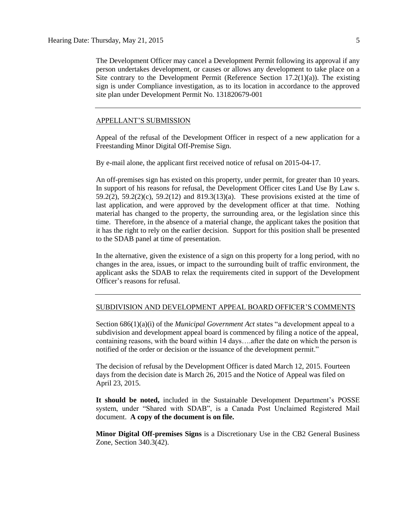The Development Officer may cancel a Development Permit following its approval if any person undertakes development, or causes or allows any development to take place on a Site contrary to the Development Permit (Reference Section  $17.2(1)(a)$ ). The existing sign is under Compliance investigation, as to its location in accordance to the approved site plan under Development Permit No. 131820679-001

### APPELLANT'S SUBMISSION

Appeal of the refusal of the Development Officer in respect of a new application for a Freestanding Minor Digital Off-Premise Sign.

By e-mail alone, the applicant first received notice of refusal on 2015-04-17.

An off-premises sign has existed on this property, under permit, for greater than 10 years. In support of his reasons for refusal, the Development Officer cites Land Use By Law s. 59.2(2), 59.2(2)(c), 59.2(12) and 819.3(13)(a). These provisions existed at the time of last application, and were approved by the development officer at that time. Nothing material has changed to the property, the surrounding area, or the legislation since this time. Therefore, in the absence of a material change, the applicant takes the position that it has the right to rely on the earlier decision. Support for this position shall be presented to the SDAB panel at time of presentation.

In the alternative, given the existence of a sign on this property for a long period, with no changes in the area, issues, or impact to the surrounding built of traffic environment, the applicant asks the SDAB to relax the requirements cited in support of the Development Officer's reasons for refusal.

#### SUBDIVISION AND DEVELOPMENT APPEAL BOARD OFFICER'S COMMENTS

Section 686(1)(a)(i) of the *Municipal Government Act* states "a development appeal to a subdivision and development appeal board is commenced by filing a notice of the appeal, containing reasons, with the board within 14 days….after the date on which the person is notified of the order or decision or the issuance of the development permit."

The decision of refusal by the Development Officer is dated March 12, 2015. Fourteen days from the decision date is March 26, 2015 and the Notice of Appeal was filed on April 23, 2015.

**It should be noted,** included in the Sustainable Development Department's POSSE system, under "Shared with SDAB", is a Canada Post Unclaimed Registered Mail document. **A copy of the document is on file.**

**Minor Digital Off-premises Signs** is a Discretionary Use in the CB2 General Business Zone, Section 340.3(42).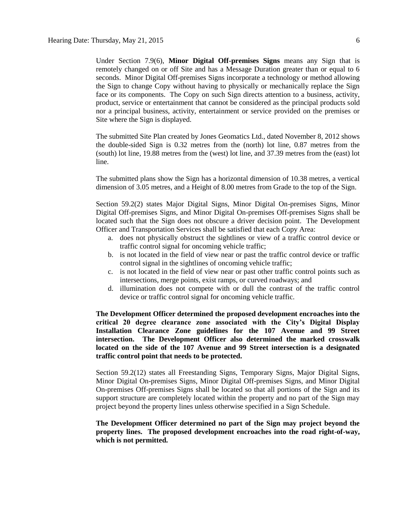Under Section 7.9(6), **Minor Digital Off-premises Signs** means any Sign that is remotely changed on or off Site and has a Message Duration greater than or equal to 6 seconds. Minor Digital Off-premises Signs incorporate a technology or method allowing the Sign to change Copy without having to physically or mechanically replace the Sign face or its components. The Copy on such Sign directs attention to a business, activity, product, service or entertainment that cannot be considered as the principal products sold nor a principal business, activity, entertainment or service provided on the premises or Site where the Sign is displayed.

The submitted Site Plan created by Jones Geomatics Ltd., dated November 8, 2012 shows the double-sided Sign is 0.32 metres from the (north) lot line, 0.87 metres from the (south) lot line, 19.88 metres from the (west) lot line, and 37.39 metres from the (east) lot line.

The submitted plans show the Sign has a horizontal dimension of 10.38 metres, a vertical dimension of 3.05 metres, and a Height of 8.00 metres from Grade to the top of the Sign.

Section 59.2(2) states Major Digital Signs, Minor Digital On-premises Signs, Minor Digital Off-premises Signs, and Minor Digital On-premises Off-premises Signs shall be located such that the Sign does not obscure a driver decision point. The Development Officer and Transportation Services shall be satisfied that each Copy Area:

- a. does not physically obstruct the sightlines or view of a traffic control device or traffic control signal for oncoming vehicle traffic;
- b. is not located in the field of view near or past the traffic control device or traffic control signal in the sightlines of oncoming vehicle traffic;
- c. is not located in the field of view near or past other traffic control points such as intersections, merge points, exist ramps, or curved roadways; and
- d. illumination does not compete with or dull the contrast of the traffic control device or traffic control signal for oncoming vehicle traffic.

**The Development Officer determined the proposed development encroaches into the critical 20 degree clearance zone associated with the City's Digital Display Installation Clearance Zone guidelines for the 107 Avenue and 99 Street intersection. The Development Officer also determined the marked crosswalk located on the side of the 107 Avenue and 99 Street intersection is a designated traffic control point that needs to be protected.**

Section 59.2(12) states all Freestanding Signs, Temporary Signs, Major Digital Signs, Minor Digital On-premises Signs, Minor Digital Off-premises Signs, and Minor Digital On-premises Off-premises Signs shall be located so that all portions of the Sign and its support structure are completely located within the property and no part of the Sign may project beyond the property lines unless otherwise specified in a Sign Schedule.

**The Development Officer determined no part of the Sign may project beyond the property lines. The proposed development encroaches into the road right-of-way, which is not permitted.**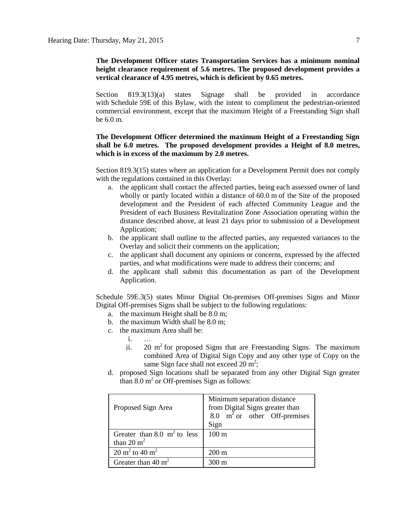## **The Development Officer states Transportation Services has a minimum nominal height clearance requirement of 5.6 metres. The proposed development provides a vertical clearance of 4.95 metres, which is deficient by 0.65 metres.**

Section 819.3(13)(a) states Signage shall be provided in accordance with [Schedule](http://webdocs.edmonton.ca/InfraPlan/zoningbylaw/ZoningBylaw/Schedule/Schedule_59E.htm) 59E of this Bylaw, with the intent to compliment the pedestrian-oriented commercial environment, except that the maximum Height of a Freestanding Sign shall be [6.0](javascript:void(0);) m.

## **The Development Officer determined the maximum Height of a Freestanding Sign shall be 6.0 metres. The proposed development provides a Height of 8.0 metres, which is in excess of the maximum by 2.0 metres.**

Section 819.3(15) states where an application for a Development Permit does not comply with the regulations contained in this Overlay:

- a. the applicant shall contact the affected parties, being each assessed owner of land wholly or partly located within a distance of [60.0](javascript:void(0);) m of the Site of the proposed development and the President of each affected Community League and the President of each Business Revitalization Zone Association operating within the distance described above, at least 21 days prior to submission of a Development Application;
- b. the applicant shall outline to the affected parties, any requested variances to the Overlay and solicit their comments on the application;
- c. the applicant shall document any opinions or concerns, expressed by the affected parties, and what modifications were made to address their concerns; and
- d. the applicant shall submit this documentation as part of the Development Application.

Schedule 59E.3(5) states Minor Digital On-premises Off-premises Signs and Minor Digital Off-premises Signs shall be subject to the following regulations:

- a. the maximum Height shall be [8.0 m;](javascript:void(0);)
- b. the maximum Width shall be [8.0 m;](javascript:void(0);)
- c. the maximum Area shall be:
	- i. …
	- ii.  $20 \text{ m}^2$  for proposed Signs that are Freestanding Signs. The maximum combined Area of Digital Sign Copy and any other type of Copy on the same Sign face shall not exceed  $20 \text{ m}^2$ ;
- d. proposed Sign locations shall be separated from any other Digital Sign greater than  $8.0 \text{ m}^2$  or Off-premises Sign as follows:

| Proposed Sign Area                                     | Minimum separation distance<br>from Digital Signs greater than<br>8.0 $m^2$ or other Off-premises<br>Sign |
|--------------------------------------------------------|-----------------------------------------------------------------------------------------------------------|
| Greater than 8.0 $m2$ to less<br>than $20 \text{ m}^2$ | $100 \text{ m}$                                                                                           |
| $20 \text{ m}^2$ to $40 \text{ m}^2$                   | $200 \text{ m}$                                                                                           |
| Greater than $40 \text{ m}^2$                          | $300 \text{ m}$                                                                                           |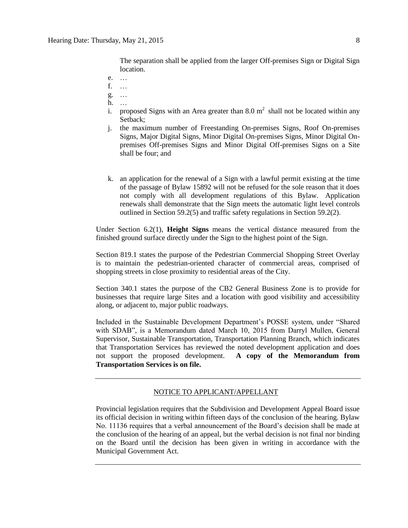The separation shall be applied from the larger Off-premises Sign or Digital Sign location.

- e. …
- f. …
- g. …
- h. …
- i. proposed Signs with an Area greater than 8.0  $m^2$  shall not be located within any Setback;
- j. the maximum number of Freestanding On-premises Signs, Roof On-premises Signs, Major Digital Signs, Minor Digital On-premises Signs, Minor Digital Onpremises Off-premises Signs and Minor Digital Off-premises Signs on a Site shall be four; and
- k. an application for the renewal of a Sign with a lawful permit existing at the time of the passage of Bylaw 15892 will not be refused for the sole reason that it does not comply with all development regulations of this Bylaw. Application renewals shall demonstrate that the Sign meets the automatic light level controls outlined in Section 59.2(5) and traffic safety regulations in Section 59.2(2).

Under Section 6.2(1), **Height Signs** means the vertical distance measured from the finished ground surface directly under the Sign to the highest point of the Sign.

Section 819.1 states the purpose of the Pedestrian Commercial Shopping Street Overlay is to maintain the pedestrian-oriented character of commercial areas, comprised of shopping streets in close proximity to residential areas of the City.

Section 340.1 states the purpose of the CB2 General Business Zone is to provide for businesses that require large Sites and a location with good visibility and accessibility along, or adjacent to, major public roadways.

Included in the Sustainable Development Department's POSSE system, under "Shared with SDAB", is a Memorandum dated March 10, 2015 from Darryl Mullen, General Supervisor, Sustainable Transportation, Transportation Planning Branch, which indicates that Transportation Services has reviewed the noted development application and does not support the proposed development. **A copy of the Memorandum from Transportation Services is on file.**

# NOTICE TO APPLICANT/APPELLANT

Provincial legislation requires that the Subdivision and Development Appeal Board issue its official decision in writing within fifteen days of the conclusion of the hearing. Bylaw No. 11136 requires that a verbal announcement of the Board's decision shall be made at the conclusion of the hearing of an appeal, but the verbal decision is not final nor binding on the Board until the decision has been given in writing in accordance with the Municipal Government Act.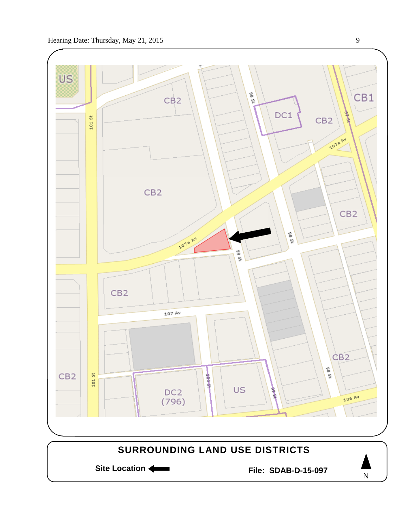

N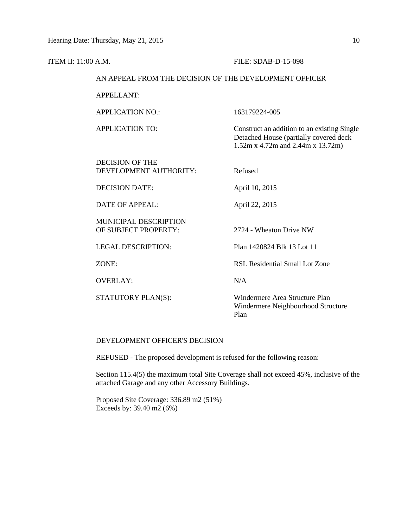| <b>ITEM II: 11:00 A.M.</b>                             | FILE: SDAB-D-15-098                                                                                                        |  |
|--------------------------------------------------------|----------------------------------------------------------------------------------------------------------------------------|--|
| AN APPEAL FROM THE DECISION OF THE DEVELOPMENT OFFICER |                                                                                                                            |  |
| <b>APPELLANT:</b>                                      |                                                                                                                            |  |
| <b>APPLICATION NO.:</b>                                | 163179224-005                                                                                                              |  |
| <b>APPLICATION TO:</b>                                 | Construct an addition to an existing Single<br>Detached House (partially covered deck<br>1.52m x 4.72m and 2.44m x 13.72m) |  |
| <b>DECISION OF THE</b><br>DEVELOPMENT AUTHORITY:       | Refused                                                                                                                    |  |
| <b>DECISION DATE:</b>                                  | April 10, 2015                                                                                                             |  |
| <b>DATE OF APPEAL:</b>                                 | April 22, 2015                                                                                                             |  |
| MUNICIPAL DESCRIPTION<br>OF SUBJECT PROPERTY:          | 2724 - Wheaton Drive NW                                                                                                    |  |
| <b>LEGAL DESCRIPTION:</b>                              | Plan 1420824 Blk 13 Lot 11                                                                                                 |  |
| ZONE:                                                  | <b>RSL Residential Small Lot Zone</b>                                                                                      |  |
| <b>OVERLAY:</b>                                        | N/A                                                                                                                        |  |
| STATUTORY PLAN(S):                                     | Windermere Area Structure Plan<br>Windermere Neighbourhood Structure<br>Plan                                               |  |

## DEVELOPMENT OFFICER'S DECISION

REFUSED - The proposed development is refused for the following reason:

Section 115.4(5) the maximum total Site Coverage shall not exceed 45%, inclusive of the attached Garage and any other Accessory Buildings.

Proposed Site Coverage: 336.89 m2 (51%) Exceeds by:  $39.40 \text{ m}^2 (6\%)$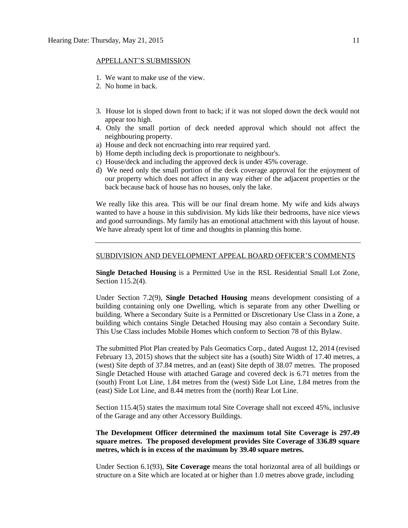#### APPELLANT'S SUBMISSION

- 1. We want to make use of the view.
- 2. No home in back.
- 3. House lot is sloped down front to back; if it was not sloped down the deck would not appear too high.
- 4. Only the small portion of deck needed approval which should not affect the neighbouring property.
- a) House and deck not encroaching into rear required yard.
- b) Home depth including deck is proportionate to neighbour's.
- c) House/deck and including the approved deck is under 45% coverage.
- d) We need only the small portion of the deck coverage approval for the enjoyment of our property which does not affect in any way either of the adjacent properties or the back because back of house has no houses, only the lake.

We really like this area. This will be our final dream home. My wife and kids always wanted to have a house in this subdivision. My kids like their bedrooms, have nice views and good surroundings. My family has an emotional attachment with this layout of house. We have already spent lot of time and thoughts in planning this home.

#### SUBDIVISION AND DEVELOPMENT APPEAL BOARD OFFICER'S COMMENTS

**Single Detached Housing** is a Permitted Use in the RSL Residential Small Lot Zone, Section 115.2(4).

Under Section 7.2(9), **Single Detached Housing** means development consisting of a building containing only one Dwelling, which is separate from any other Dwelling or building. Where a Secondary Suite is a Permitted or Discretionary Use Class in a Zone, a building which contains Single Detached Housing may also contain a Secondary Suite. This Use Class includes Mobile Homes which conform to [Section 78](http://webdocs.edmonton.ca/zoningbylaw/ZoningBylaw/Part1/Special_Land/78__Mobile_Homes.htm) of this Bylaw.

The submitted Plot Plan created by Pals Geomatics Corp., dated August 12, 2014 (revised February 13, 2015) shows that the subject site has a (south) Site Width of 17.40 metres, a (west) Site depth of 37.84 metres, and an (east) Site depth of 38.07 metres. The proposed Single Detached House with attached Garage and covered deck is 6.71 metres from the (south) Front Lot Line, 1.84 metres from the (west) Side Lot Line, 1.84 metres from the (east) Side Lot Line, and 8.44 metres from the (north) Rear Lot Line.

Section 115.4(5) states the maximum total Site Coverage shall not exceed 45%, inclusive of the Garage and any other Accessory Buildings.

## **The Development Officer determined the maximum total Site Coverage is 297.49 square metres. The proposed development provides Site Coverage of 336.89 square metres, which is in excess of the maximum by 39.40 square metres.**

Under Section 6.1(93), **Site Coverage** means the total horizontal area of all buildings or structure on a Site which are located at or higher than 1.0 metres above grade, including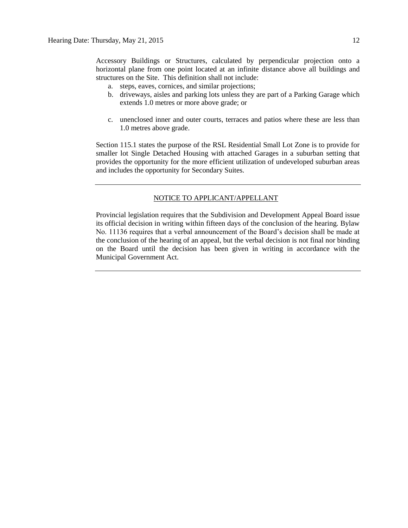- structures on the Site. This definition shall not include: a. steps, eaves, cornices, and similar projections;
	- b. driveways, aisles and parking lots unless they are part of a Parking Garage which extends 1.0 metres or more above grade; or
	- c. unenclosed inner and outer courts, terraces and patios where these are less than 1.0 metres above grade.

Section 115.1 states the purpose of the RSL Residential Small Lot Zone is to provide for smaller lot Single Detached Housing with attached Garages in a suburban setting that provides the opportunity for the more efficient utilization of undeveloped suburban areas and includes the opportunity for Secondary Suites.

## NOTICE TO APPLICANT/APPELLANT

Provincial legislation requires that the Subdivision and Development Appeal Board issue its official decision in writing within fifteen days of the conclusion of the hearing. Bylaw No. 11136 requires that a verbal announcement of the Board's decision shall be made at the conclusion of the hearing of an appeal, but the verbal decision is not final nor binding on the Board until the decision has been given in writing in accordance with the Municipal Government Act.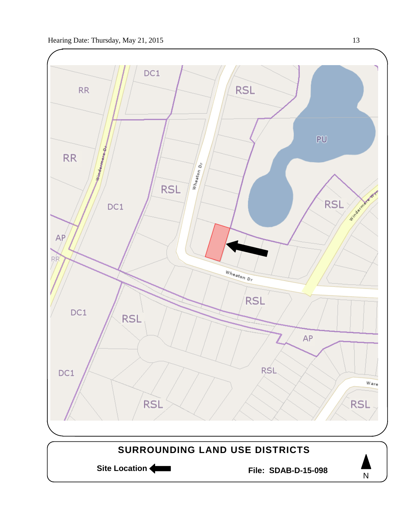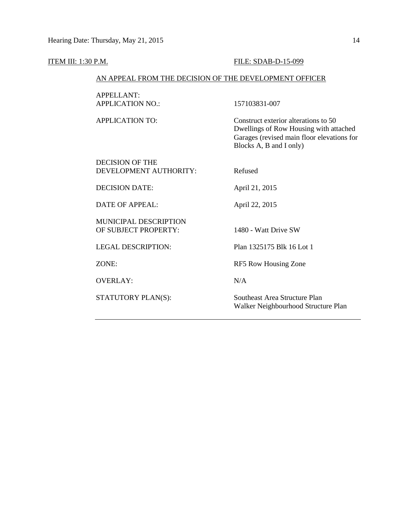# **ITEM III: 1:30 P.M. FILE: SDAB-D-15-099**

# AN APPEAL FROM THE DECISION OF THE DEVELOPMENT OFFICER

| <b>APPELLANT:</b>                                    |                                                                                                                                                         |
|------------------------------------------------------|---------------------------------------------------------------------------------------------------------------------------------------------------------|
| <b>APPLICATION NO.:</b>                              | 157103831-007                                                                                                                                           |
| APPLICATION TO:                                      | Construct exterior alterations to 50<br>Dwellings of Row Housing with attached<br>Garages (revised main floor elevations for<br>Blocks A, B and I only) |
| DECISION OF THE<br>DEVELOPMENT AUTHORITY:            | Refused                                                                                                                                                 |
| <b>DECISION DATE:</b>                                | April 21, 2015                                                                                                                                          |
| DATE OF APPEAL:                                      | April 22, 2015                                                                                                                                          |
| <b>MUNICIPAL DESCRIPTION</b><br>OF SUBJECT PROPERTY: | 1480 - Watt Drive SW                                                                                                                                    |
| <b>LEGAL DESCRIPTION:</b>                            | Plan 1325175 Blk 16 Lot 1                                                                                                                               |
| ZONE:                                                | RF5 Row Housing Zone                                                                                                                                    |
| <b>OVERLAY:</b>                                      | N/A                                                                                                                                                     |
| STATUTORY PLAN(S):                                   | Southeast Area Structure Plan<br>Walker Neighbourhood Structure Plan                                                                                    |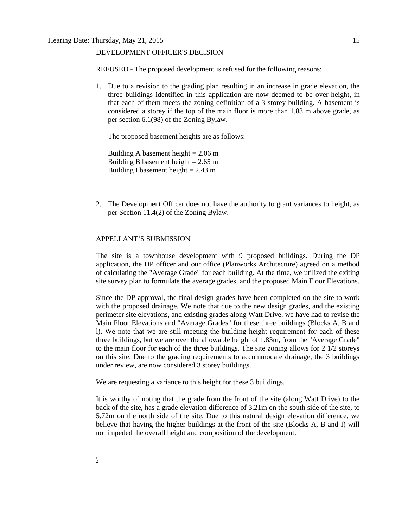#### DEVELOPMENT OFFICER'S DECISION

REFUSED - The proposed development is refused for the following reasons:

1. Due to a revision to the grading plan resulting in an increase in grade elevation, the three buildings identified in this application are now deemed to be over-height, in that each of them meets the zoning definition of a 3-storey building. A basement is considered a storey if the top of the main floor is more than 1.83 m above grade, as per section 6.1(98) of the Zoning Bylaw.

The proposed basement heights are as follows:

Building A basement height  $= 2.06$  m Building B basement height  $= 2.65$  m Building I basement height  $= 2.43$  m

2. The Development Officer does not have the authority to grant variances to height, as per Section 11.4(2) of the Zoning Bylaw.

## APPELLANT'S SUBMISSION

The site is a townhouse development with 9 proposed buildings. During the DP application, the DP officer and our office (Planworks Architecture) agreed on a method of calculating the "Average Grade" for each building. At the time, we utilized the exiting site survey plan to formulate the average grades, and the proposed Main Floor Elevations.

Since the DP approval, the final design grades have been completed on the site to work with the proposed drainage. We note that due to the new design grades, and the existing perimeter site elevations, and existing grades along Watt Drive, we have had to revise the Main Floor Elevations and "Average Grades" for these three buildings (Blocks A, B and l). We note that we are still meeting the building height requirement for each of these three buildings, but we are over the allowable height of 1.83m, from the "Average Grade" to the main floor for each of the three buildings. The site zoning allows for 2 1/2 storeys on this site. Due to the grading requirements to accommodate drainage, the 3 buildings under review, are now considered 3 storey buildings.

We are requesting a variance to this height for these 3 buildings.

It is worthy of noting that the grade from the front of the site (along Watt Drive) to the back of the site, has a grade elevation difference of 3.21m on the south side of the site, to 5.72m on the north side of the site. Due to this natural design elevation difference, we believe that having the higher buildings at the front of the site (Blocks A, B and I) will not impeded the overall height and composition of the development.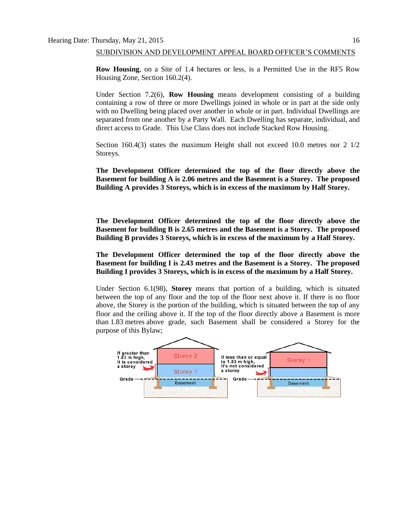#### SUBDIVISION AND DEVELOPMENT APPEAL BOARD OFFICER'S COMMENTS

**Row Housing**, on a Site of 1.4 hectares or less, is a Permitted Use in the RF5 Row Housing Zone, Section 160.2(4).

Under Section 7.2(6), **Row Housing** means development consisting of a building containing a row of three or more Dwellings joined in whole or in part at the side only with no Dwelling being placed over another in whole or in part. Individual Dwellings are separated from one another by a Party Wall. Each Dwelling has separate, individual, and direct access to Grade. This Use Class does not include Stacked Row Housing.

Section 160.4(3) states the maximum Height shall not exceed 10.0 metres nor 2 1/2 Storeys.

**The Development Officer determined the top of the floor directly above the Basement for building A is 2.06 metres and the Basement is a Storey. The proposed Building A provides 3 Storeys, which is in excess of the maximum by Half Storey.**

**The Development Officer determined the top of the floor directly above the Basement for building B is 2.65 metres and the Basement is a Storey. The proposed Building B provides 3 Storeys, which is in excess of the maximum by a Half Storey.**

**The Development Officer determined the top of the floor directly above the Basement for building I is 2.43 metres and the Basement is a Storey. The proposed Building I provides 3 Storeys, which is in excess of the maximum by a Half Storey.**

Under Section 6.1(98), **Storey** means that portion of a building, which is situated between the top of any floor and the top of the floor next above it. If there is no floor above, the Storey is the portion of the building, which is situated between the top of any floor and the ceiling above it. If the top of the floor directly above a Basement is more than [1.83](javascript:void(0);) metres above grade, such Basement shall be considered a Storey for the purpose of this Bylaw;

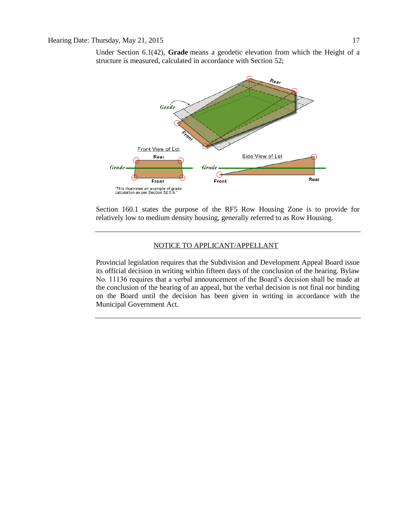Under Section 6.1(42), **Grade** means a geodetic elevation from which the Height of a structure is measured, calculated in accordance with Section 52;



Section 160.1 states the purpose of the RF5 Row Housing Zone is to provide for relatively low to medium density housing, generally referred to as Row Housing.

# NOTICE TO APPLICANT/APPELLANT

Provincial legislation requires that the Subdivision and Development Appeal Board issue its official decision in writing within fifteen days of the conclusion of the hearing. Bylaw No. 11136 requires that a verbal announcement of the Board's decision shall be made at the conclusion of the hearing of an appeal, but the verbal decision is not final nor binding on the Board until the decision has been given in writing in accordance with the Municipal Government Act.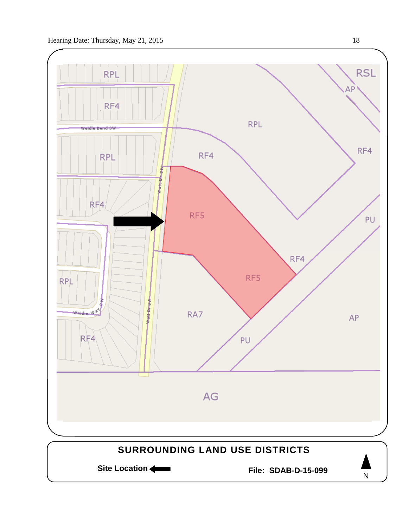